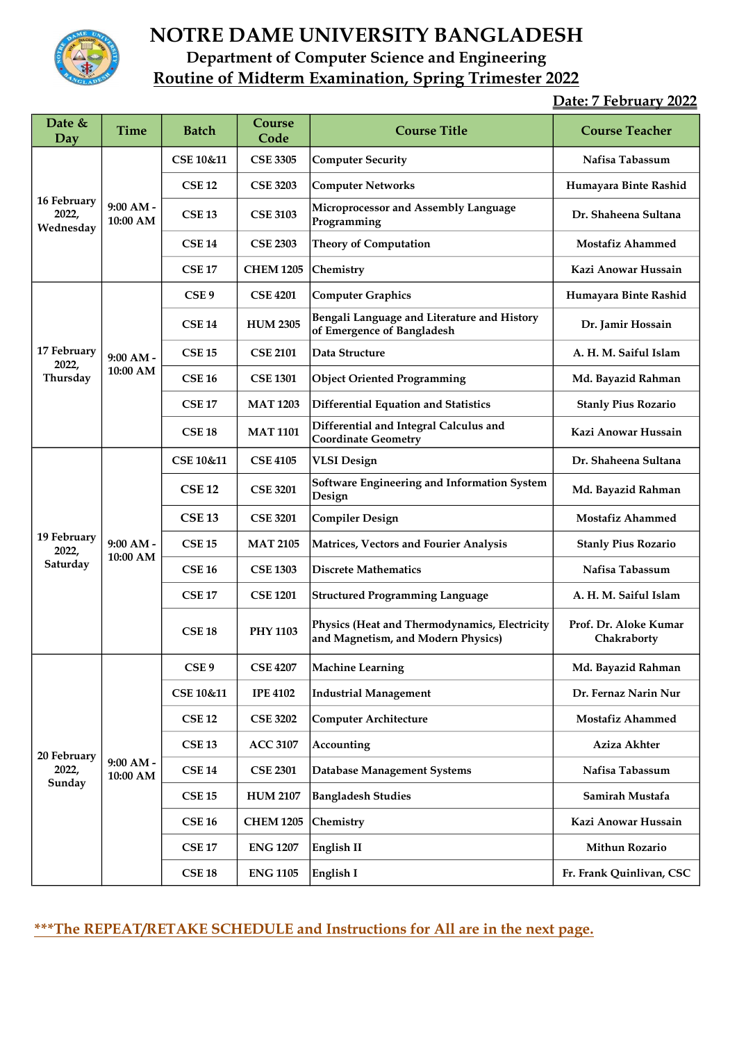

## NOTRE DAME UNIVERSITY BANGLADESH Department of Computer Science and Engineering Routine of Midterm Examination, Spring Trimester 2022

## Date: 7 February 2022

| Date $&$<br>Day                   | <b>Time</b>                        | <b>Batch</b>         | Course<br>Code   | <b>Course Title</b>                                                                 | <b>Course Teacher</b>                |
|-----------------------------------|------------------------------------|----------------------|------------------|-------------------------------------------------------------------------------------|--------------------------------------|
| 16 February<br>2022,<br>Wednesday | $9:00 AM -$<br>10:00 AM            | <b>CSE 10&amp;11</b> | <b>CSE 3305</b>  | <b>Computer Security</b>                                                            | Nafisa Tabassum                      |
|                                   |                                    | <b>CSE 12</b>        | <b>CSE 3203</b>  | <b>Computer Networks</b>                                                            | Humayara Binte Rashid                |
|                                   |                                    | <b>CSE 13</b>        | <b>CSE 3103</b>  | Microprocessor and Assembly Language<br>Programming                                 | Dr. Shaheena Sultana                 |
|                                   |                                    | <b>CSE 14</b>        | <b>CSE 2303</b>  | <b>Theory of Computation</b>                                                        | <b>Mostafiz Ahammed</b>              |
|                                   |                                    | <b>CSE 17</b>        | <b>CHEM 1205</b> | Chemistry                                                                           | Kazi Anowar Hussain                  |
| 17 February<br>2022,<br>Thursday  | $9:00 AM -$<br>10:00 AM            | CSE <sub>9</sub>     | <b>CSE 4201</b>  | <b>Computer Graphics</b>                                                            | Humayara Binte Rashid                |
|                                   |                                    | <b>CSE 14</b>        | <b>HUM 2305</b>  | Bengali Language and Literature and History<br>of Emergence of Bangladesh           | Dr. Jamir Hossain                    |
|                                   |                                    | <b>CSE 15</b>        | <b>CSE 2101</b>  | Data Structure                                                                      | A. H. M. Saiful Islam                |
|                                   |                                    | <b>CSE 16</b>        | <b>CSE 1301</b>  | <b>Object Oriented Programming</b>                                                  | Md. Bayazid Rahman                   |
|                                   |                                    | <b>CSE 17</b>        | <b>MAT 1203</b>  | <b>Differential Equation and Statistics</b>                                         | <b>Stanly Pius Rozario</b>           |
|                                   |                                    | <b>CSE 18</b>        | <b>MAT 1101</b>  | Differential and Integral Calculus and<br><b>Coordinate Geometry</b>                | Kazi Anowar Hussain                  |
| 19 February<br>2022,<br>Saturday  | $9:00 AM -$<br>10:00 AM            | CSE 10&11            | <b>CSE 4105</b>  | VLSI Design                                                                         | Dr. Shaheena Sultana                 |
|                                   |                                    | <b>CSE 12</b>        | <b>CSE 3201</b>  | Software Engineering and Information System<br>Design                               | Md. Bayazid Rahman                   |
|                                   |                                    | <b>CSE 13</b>        | <b>CSE 3201</b>  | <b>Compiler Design</b>                                                              | <b>Mostafiz Ahammed</b>              |
|                                   |                                    | <b>CSE 15</b>        | <b>MAT 2105</b>  | Matrices, Vectors and Fourier Analysis                                              | <b>Stanly Pius Rozario</b>           |
|                                   |                                    | <b>CSE 16</b>        | <b>CSE 1303</b>  | <b>Discrete Mathematics</b>                                                         | Nafisa Tabassum                      |
|                                   |                                    | <b>CSE 17</b>        | <b>CSE 1201</b>  | <b>Structured Programming Language</b>                                              | A. H. M. Saiful Islam                |
|                                   |                                    | <b>CSE 18</b>        | <b>PHY 1103</b>  | Physics (Heat and Thermodynamics, Electricity<br>and Magnetism, and Modern Physics) | Prof. Dr. Aloke Kumar<br>Chakraborty |
| 20 February<br>2022,<br>Sunday    | $9:00 AM -$<br>$10:00~\mathrm{AM}$ | CSE <sub>9</sub>     | <b>CSE 4207</b>  | <b>Machine Learning</b>                                                             | Md. Bayazid Rahman                   |
|                                   |                                    | CSE 10&11            | <b>IPE 4102</b>  | <b>Industrial Management</b>                                                        | Dr. Fernaz Narin Nur                 |
|                                   |                                    | <b>CSE 12</b>        | <b>CSE 3202</b>  | <b>Computer Architecture</b>                                                        | <b>Mostafiz Ahammed</b>              |
|                                   |                                    | <b>CSE 13</b>        | <b>ACC 3107</b>  | Accounting                                                                          | Aziza Akhter                         |
|                                   |                                    | <b>CSE 14</b>        | <b>CSE 2301</b>  | <b>Database Management Systems</b>                                                  | Nafisa Tabassum                      |
|                                   |                                    | <b>CSE 15</b>        | <b>HUM 2107</b>  | <b>Bangladesh Studies</b>                                                           | Samirah Mustafa                      |
|                                   |                                    | <b>CSE 16</b>        | <b>CHEM 1205</b> | Chemistry                                                                           | Kazi Anowar Hussain                  |
|                                   |                                    | <b>CSE 17</b>        | <b>ENG 1207</b>  | <b>English II</b>                                                                   | Mithun Rozario                       |
|                                   |                                    | <b>CSE 18</b>        | <b>ENG 1105</b>  | English I                                                                           | Fr. Frank Quinlivan, CSC             |

\*\*\*The REPEAT/RETAKE SCHEDULE and Instructions for All are in the next page.